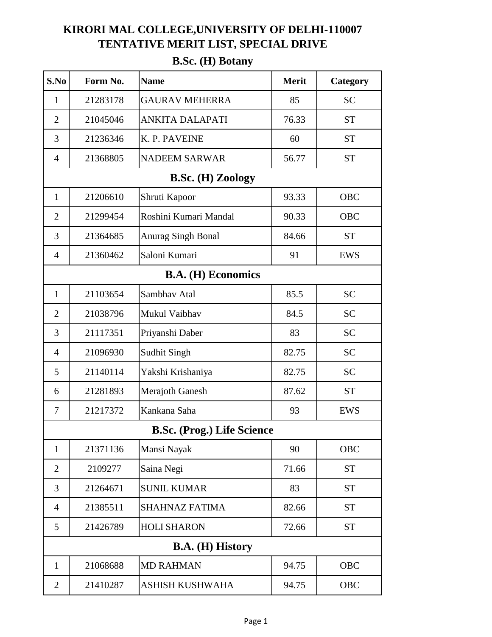## **KIRORI MAL COLLEGE,UNIVERSITY OF DELHI-110007 TENTATIVE MERIT LIST, SPECIAL DRIVE**

| S.No                               | Form No. | <b>Name</b>                       | <b>Merit</b> | Category   |  |
|------------------------------------|----------|-----------------------------------|--------------|------------|--|
| $\mathbf{1}$                       | 21283178 | <b>GAURAV MEHERRA</b>             | 85           | <b>SC</b>  |  |
| $\overline{2}$                     | 21045046 | <b>ANKITA DALAPATI</b>            | 76.33        | <b>ST</b>  |  |
| 3                                  | 21236346 | K. P. PAVEINE                     | 60           | <b>ST</b>  |  |
| $\overline{4}$                     | 21368805 | <b>NADEEM SARWAR</b>              | 56.77        | <b>ST</b>  |  |
|                                    |          | <b>B.Sc. (H) Zoology</b>          |              |            |  |
| $\mathbf{1}$                       | 21206610 | Shruti Kapoor                     | 93.33        | <b>OBC</b> |  |
| $\overline{2}$                     | 21299454 | Roshini Kumari Mandal             | 90.33        | <b>OBC</b> |  |
| 3                                  | 21364685 | <b>Anurag Singh Bonal</b>         | 84.66        | <b>ST</b>  |  |
| $\overline{4}$                     | 21360462 | Saloni Kumari                     | 91           | EWS        |  |
| <b>B.A.</b> ( <b>H</b> ) Economics |          |                                   |              |            |  |
| $\mathbf{1}$                       | 21103654 | Sambhav Atal                      | 85.5         | <b>SC</b>  |  |
| $\overline{2}$                     | 21038796 | Mukul Vaibhav                     | 84.5         | <b>SC</b>  |  |
| 3                                  | 21117351 | Priyanshi Daber                   | 83           | <b>SC</b>  |  |
| $\overline{4}$                     | 21096930 | <b>Sudhit Singh</b>               | 82.75        | <b>SC</b>  |  |
| 5                                  | 21140114 | Yakshi Krishaniya                 | 82.75        | <b>SC</b>  |  |
| 6                                  | 21281893 | <b>Merajoth Ganesh</b>            | 87.62        | <b>ST</b>  |  |
| $\overline{7}$                     | 21217372 | Kankana Saha                      | 93           | <b>EWS</b> |  |
|                                    |          | <b>B.Sc. (Prog.) Life Science</b> |              |            |  |
| $\mathbf{1}$                       | 21371136 | Mansi Nayak                       | 90           | <b>OBC</b> |  |
| $\overline{2}$                     | 2109277  | Saina Negi                        | 71.66        | <b>ST</b>  |  |
| 3                                  | 21264671 | <b>SUNIL KUMAR</b>                | 83           | <b>ST</b>  |  |
| $\overline{4}$                     | 21385511 | <b>SHAHNAZ FATIMA</b>             | 82.66        | <b>ST</b>  |  |
| 5                                  | 21426789 | <b>HOLI SHARON</b>                | 72.66        | <b>ST</b>  |  |
| <b>B.A.</b> (H) History            |          |                                   |              |            |  |
| $\mathbf{1}$                       | 21068688 | <b>MD RAHMAN</b>                  | 94.75        | <b>OBC</b> |  |
| $\overline{2}$                     | 21410287 | <b>ASHISH KUSHWAHA</b>            | 94.75        | <b>OBC</b> |  |

## **B.Sc. (H) Botany**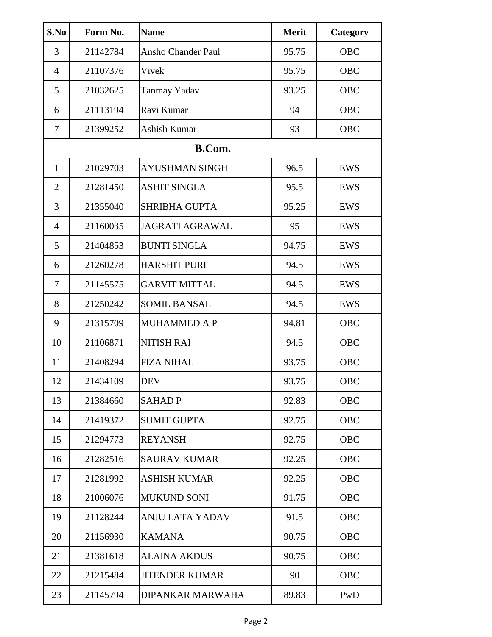| S.No           | Form No. | <b>Name</b>               | <b>Merit</b> | Category   |
|----------------|----------|---------------------------|--------------|------------|
| 3              | 21142784 | <b>Ansho Chander Paul</b> | 95.75        | <b>OBC</b> |
| $\overline{4}$ | 21107376 | Vivek                     | 95.75        | <b>OBC</b> |
| 5              | 21032625 | <b>Tanmay Yadav</b>       | 93.25        | OBC        |
| 6              | 21113194 | Ravi Kumar                | 94           | OBC        |
| $\tau$         | 21399252 | Ashish Kumar              | 93           | OBC        |
|                |          | <b>B.Com.</b>             |              |            |
| $\mathbf{1}$   | 21029703 | <b>AYUSHMAN SINGH</b>     | 96.5         | <b>EWS</b> |
| $\overline{2}$ | 21281450 | <b>ASHIT SINGLA</b>       | 95.5         | <b>EWS</b> |
| 3              | 21355040 | <b>SHRIBHA GUPTA</b>      | 95.25        | <b>EWS</b> |
| $\overline{4}$ | 21160035 | <b>JAGRATI AGRAWAL</b>    | 95           | <b>EWS</b> |
| 5              | 21404853 | <b>BUNTI SINGLA</b>       | 94.75        | <b>EWS</b> |
| 6              | 21260278 | <b>HARSHIT PURI</b>       | 94.5         | EWS        |
| 7              | 21145575 | <b>GARVIT MITTAL</b>      | 94.5         | <b>EWS</b> |
| 8              | 21250242 | <b>SOMIL BANSAL</b>       | 94.5         | <b>EWS</b> |
| 9              | 21315709 | <b>MUHAMMED A P</b>       | 94.81        | <b>OBC</b> |
| 10             | 21106871 | <b>NITISH RAI</b>         | 94.5         | <b>OBC</b> |
| 11             | 21408294 | <b>FIZA NIHAL</b>         | 93.75        | <b>OBC</b> |
| 12             | 21434109 | <b>DEV</b>                | 93.75        | <b>OBC</b> |
| 13             | 21384660 | <b>SAHADP</b>             | 92.83        | <b>OBC</b> |
| 14             | 21419372 | <b>SUMIT GUPTA</b>        | 92.75        | <b>OBC</b> |
| 15             | 21294773 | <b>REYANSH</b>            | 92.75        | <b>OBC</b> |
| 16             | 21282516 | <b>SAURAV KUMAR</b>       | 92.25        | <b>OBC</b> |
| 17             | 21281992 | <b>ASHISH KUMAR</b>       | 92.25        | <b>OBC</b> |
| 18             | 21006076 | <b>MUKUND SONI</b>        | 91.75        | <b>OBC</b> |
| 19             | 21128244 | <b>ANJU LATA YADAV</b>    | 91.5         | <b>OBC</b> |
| 20             | 21156930 | <b>KAMANA</b>             | 90.75        | <b>OBC</b> |
| 21             | 21381618 | <b>ALAINA AKDUS</b>       | 90.75        | <b>OBC</b> |
| 22             | 21215484 | <b>JITENDER KUMAR</b>     | 90           | <b>OBC</b> |
| 23             | 21145794 | DIPANKAR MARWAHA          | 89.83        | PwD        |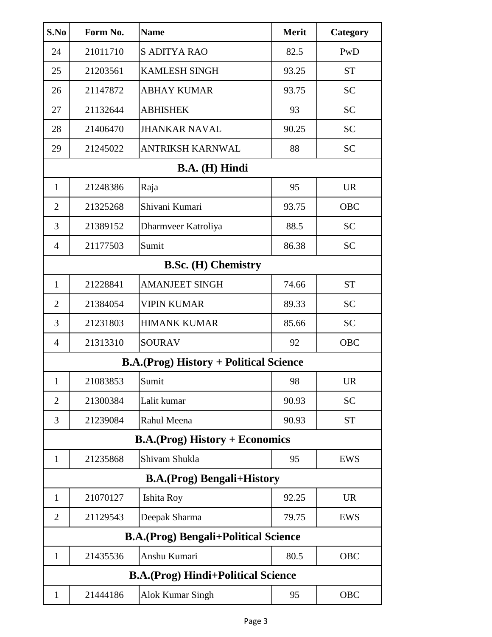| S.No                                           | Form No.                   | <b>Name</b>             | <b>Merit</b> | Category   |  |  |
|------------------------------------------------|----------------------------|-------------------------|--------------|------------|--|--|
| 24                                             | 21011710                   | <b>S ADITYA RAO</b>     | 82.5         | PwD        |  |  |
| 25                                             | 21203561                   | <b>KAMLESH SINGH</b>    | 93.25        | <b>ST</b>  |  |  |
| 26                                             | 21147872                   | <b>ABHAY KUMAR</b>      | 93.75        | <b>SC</b>  |  |  |
| 27                                             | 21132644                   | <b>ABHISHEK</b>         | 93           | <b>SC</b>  |  |  |
| 28                                             | 21406470                   | <b>JHANKAR NAVAL</b>    | 90.25        | <b>SC</b>  |  |  |
| 29                                             | 21245022                   | <b>ANTRIKSH KARNWAL</b> | 88           | <b>SC</b>  |  |  |
|                                                |                            | B.A. (H) Hindi          |              |            |  |  |
| $\mathbf{1}$                                   | 21248386                   | Raja                    | 95           | <b>UR</b>  |  |  |
| $\overline{2}$                                 | 21325268                   | Shivani Kumari          | 93.75        | OBC        |  |  |
| 3                                              | 21389152                   | Dharmveer Katroliya     | 88.5         | <b>SC</b>  |  |  |
| $\overline{4}$                                 | 21177503                   | Sumit                   | 86.38        | <b>SC</b>  |  |  |
|                                                | <b>B.Sc. (H) Chemistry</b> |                         |              |            |  |  |
| 1                                              | 21228841                   | <b>AMANJEET SINGH</b>   | 74.66        | <b>ST</b>  |  |  |
| $\overline{2}$                                 | 21384054                   | <b>VIPIN KUMAR</b>      | 89.33        | <b>SC</b>  |  |  |
| 3                                              | 21231803                   | <b>HIMANK KUMAR</b>     | 85.66        | <b>SC</b>  |  |  |
| $\overline{4}$                                 | 21313310                   | <b>SOURAV</b>           | 92           | OBC        |  |  |
| <b>B.A.</b> (Prog) History + Political Science |                            |                         |              |            |  |  |
| $\mathbf{1}$                                   | 21083853                   | Sumit                   | 98           | <b>UR</b>  |  |  |
| $\overline{2}$                                 | 21300384                   | Lalit kumar             | 90.93        | <b>SC</b>  |  |  |
| 3                                              | 21239084                   | Rahul Meena             | 90.93        | <b>ST</b>  |  |  |
| <b>B.A.</b> (Prog) History + Economics         |                            |                         |              |            |  |  |
| $\mathbf{1}$                                   | 21235868                   | Shivam Shukla           | 95           | EWS        |  |  |
| <b>B.A.</b> (Prog) Bengali+History             |                            |                         |              |            |  |  |
| $\mathbf{1}$                                   | 21070127                   | Ishita Roy              | 92.25        | <b>UR</b>  |  |  |
| $\overline{2}$                                 | 21129543                   | Deepak Sharma           | 79.75        | EWS        |  |  |
| <b>B.A.</b> (Prog) Bengali+Political Science   |                            |                         |              |            |  |  |
| $\mathbf{1}$                                   | 21435536                   | Anshu Kumari            | 80.5         | <b>OBC</b> |  |  |
| <b>B.A.</b> (Prog) Hindi+Political Science     |                            |                         |              |            |  |  |
| $\mathbf{1}$                                   | 21444186                   | Alok Kumar Singh        | 95           | <b>OBC</b> |  |  |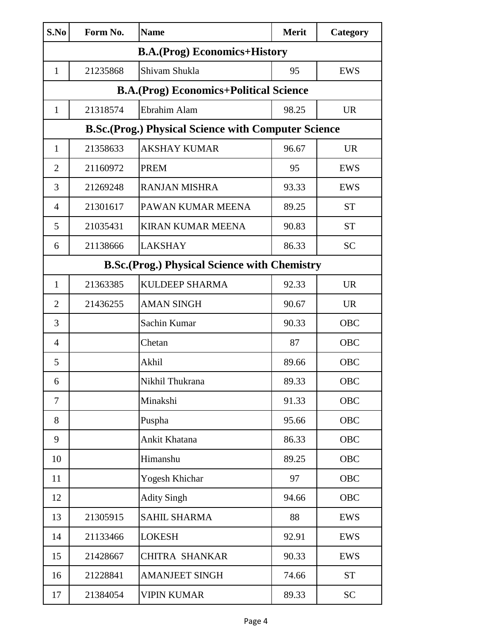| S.No                                                | Form No.                                                   | <b>Name</b>                                    | <b>Merit</b> | Category   |  |  |
|-----------------------------------------------------|------------------------------------------------------------|------------------------------------------------|--------------|------------|--|--|
| <b>B.A.</b> (Prog) Economics+History                |                                                            |                                                |              |            |  |  |
| $\mathbf{1}$                                        | 21235868                                                   | Shivam Shukla                                  | 95           | <b>EWS</b> |  |  |
|                                                     |                                                            | <b>B.A.</b> (Prog) Economics+Political Science |              |            |  |  |
| $\mathbf{1}$                                        | 21318574                                                   | Ebrahim Alam                                   | 98.25        | <b>UR</b>  |  |  |
|                                                     | <b>B.Sc.(Prog.) Physical Science with Computer Science</b> |                                                |              |            |  |  |
| $\mathbf{1}$                                        | 21358633                                                   | <b>AKSHAY KUMAR</b>                            | 96.67        | <b>UR</b>  |  |  |
| $\overline{2}$                                      | 21160972                                                   | <b>PREM</b>                                    | 95           | <b>EWS</b> |  |  |
| 3                                                   | 21269248                                                   | <b>RANJAN MISHRA</b>                           | 93.33        | <b>EWS</b> |  |  |
| $\overline{4}$                                      | 21301617                                                   | PAWAN KUMAR MEENA                              | 89.25        | <b>ST</b>  |  |  |
| 5                                                   | 21035431                                                   | <b>KIRAN KUMAR MEENA</b>                       | 90.83        | <b>ST</b>  |  |  |
| 6                                                   | 21138666                                                   | <b>LAKSHAY</b>                                 | 86.33        | <b>SC</b>  |  |  |
| <b>B.Sc.(Prog.) Physical Science with Chemistry</b> |                                                            |                                                |              |            |  |  |
| $\mathbf{1}$                                        | 21363385                                                   | <b>KULDEEP SHARMA</b>                          | 92.33        | <b>UR</b>  |  |  |
| $\overline{2}$                                      | 21436255                                                   | <b>AMAN SINGH</b>                              | 90.67        | <b>UR</b>  |  |  |
| 3                                                   |                                                            | Sachin Kumar                                   | 90.33        | OBC        |  |  |
| $\overline{4}$                                      |                                                            | Chetan                                         | 87           | OBC        |  |  |
| 5                                                   |                                                            | Akhil                                          | 89.66        | <b>OBC</b> |  |  |
| 6                                                   |                                                            | Nikhil Thukrana                                | 89.33        | <b>OBC</b> |  |  |
| $\overline{7}$                                      |                                                            | Minakshi                                       | 91.33        | <b>OBC</b> |  |  |
| 8                                                   |                                                            | Puspha                                         | 95.66        | <b>OBC</b> |  |  |
| 9                                                   |                                                            | Ankit Khatana                                  | 86.33        | <b>OBC</b> |  |  |
| 10                                                  |                                                            | Himanshu                                       | 89.25        | <b>OBC</b> |  |  |
| 11                                                  |                                                            | Yogesh Khichar                                 | 97           | <b>OBC</b> |  |  |
| 12                                                  |                                                            | <b>Adity Singh</b>                             | 94.66        | <b>OBC</b> |  |  |
| 13                                                  | 21305915                                                   | <b>SAHIL SHARMA</b>                            | 88           | <b>EWS</b> |  |  |
| 14                                                  | 21133466                                                   | <b>LOKESH</b>                                  | 92.91        | <b>EWS</b> |  |  |
| 15                                                  | 21428667                                                   | CHITRA SHANKAR                                 | 90.33        | <b>EWS</b> |  |  |
| 16                                                  | 21228841                                                   | <b>AMANJEET SINGH</b>                          | 74.66        | <b>ST</b>  |  |  |
| 17                                                  | 21384054                                                   | <b>VIPIN KUMAR</b>                             | 89.33        | <b>SC</b>  |  |  |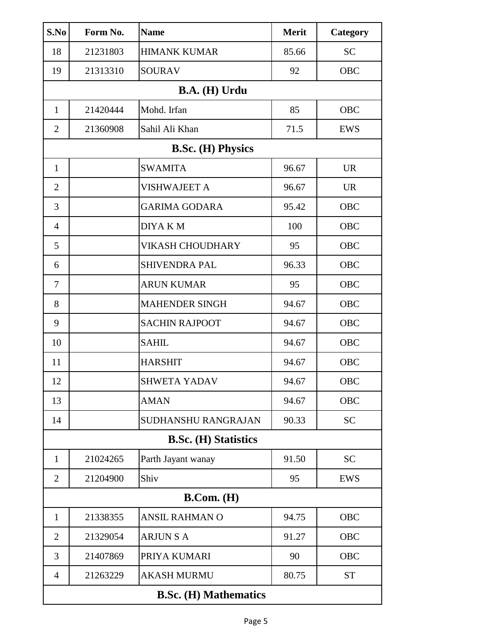| S.No                         | Form No. | <b>Name</b>                | <b>Merit</b> | Category   |  |
|------------------------------|----------|----------------------------|--------------|------------|--|
| 18                           | 21231803 | <b>HIMANK KUMAR</b>        | 85.66        | <b>SC</b>  |  |
| 19                           | 21313310 | <b>SOURAV</b>              | 92           | <b>OBC</b> |  |
|                              |          | B.A. (H) Urdu              |              |            |  |
| $\mathbf{1}$                 | 21420444 | Mohd. Irfan                | 85           | OBC        |  |
| $\overline{2}$               | 21360908 | Sahil Ali Khan             | 71.5         | <b>EWS</b> |  |
|                              |          | <b>B.Sc.</b> (H) Physics   |              |            |  |
| $\mathbf{1}$                 |          | <b>SWAMITA</b>             | 96.67        | <b>UR</b>  |  |
| $\overline{2}$               |          | <b>VISHWAJEET A</b>        | 96.67        | <b>UR</b>  |  |
| 3                            |          | <b>GARIMA GODARA</b>       | 95.42        | <b>OBC</b> |  |
| $\overline{4}$               |          | <b>DIYAKM</b>              | 100          | <b>OBC</b> |  |
| 5                            |          | VIKASH CHOUDHARY           | 95           | <b>OBC</b> |  |
| 6                            |          | <b>SHIVENDRA PAL</b>       | 96.33        | <b>OBC</b> |  |
| 7                            |          | <b>ARUN KUMAR</b>          | 95           | <b>OBC</b> |  |
| 8                            |          | <b>MAHENDER SINGH</b>      | 94.67        | <b>OBC</b> |  |
| 9                            |          | <b>SACHIN RAJPOOT</b>      | 94.67        | <b>OBC</b> |  |
| 10                           |          | <b>SAHIL</b>               | 94.67        | <b>OBC</b> |  |
| 11                           |          | <b>HARSHIT</b>             | 94.67        | <b>OBC</b> |  |
| 12                           |          | <b>SHWETA YADAV</b>        | 94.67        | OBC        |  |
| 13                           |          | <b>AMAN</b>                | 94.67        | <b>OBC</b> |  |
| 14                           |          | <b>SUDHANSHU RANGRAJAN</b> | 90.33        | <b>SC</b>  |  |
| <b>B.Sc. (H) Statistics</b>  |          |                            |              |            |  |
| $\mathbf{1}$                 | 21024265 | Parth Jayant wanay         | 91.50        | <b>SC</b>  |  |
| 2                            | 21204900 | Shiv                       | 95           | <b>EWS</b> |  |
| B. Com. (H)                  |          |                            |              |            |  |
| 1                            | 21338355 | ANSIL RAHMAN O             | 94.75        | <b>OBC</b> |  |
| 2                            | 21329054 | <b>ARJUNSA</b>             | 91.27        | <b>OBC</b> |  |
| 3                            | 21407869 | PRIYA KUMARI               | 90           | <b>OBC</b> |  |
| $\overline{4}$               | 21263229 | <b>AKASH MURMU</b>         | 80.75        | <b>ST</b>  |  |
| <b>B.Sc. (H) Mathematics</b> |          |                            |              |            |  |